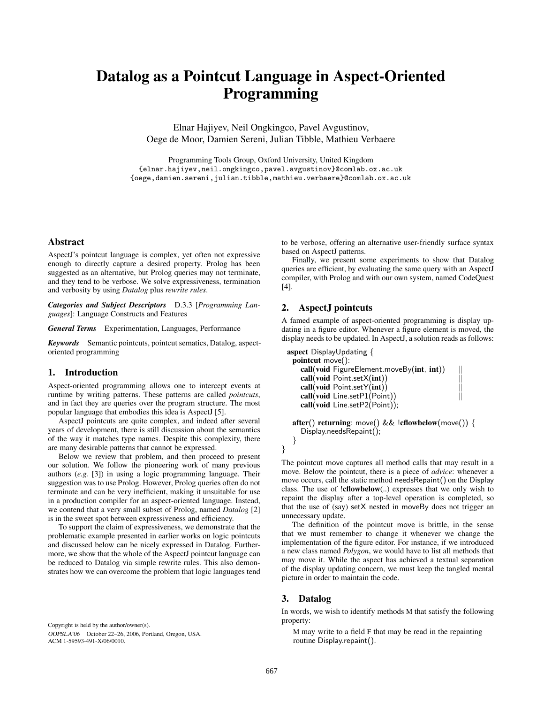# **Datalog as a Pointcut Language in Aspect-Oriented Programming**

Elnar Hajiyev, Neil Ongkingco, Pavel Avgustinov, Oege de Moor, Damien Sereni, Julian Tibble, Mathieu Verbaere

Programming Tools Group, Oxford University, United Kingdom {elnar.hajiyev,neil.ongkingco,pavel.avgustinov}@comlab.ox.ac.uk {oege,damien.sereni,julian.tibble,mathieu.verbaere}@comlab.ox.ac.uk

#### **Abstract**

AspectJ's pointcut language is complex, yet often not expressive enough to directly capture a desired property. Prolog has been suggested as an alternative, but Prolog queries may not terminate, and they tend to be verbose. We solve expressiveness, termination and verbosity by using *Datalog* plus *rewrite rules*.

*Categories and Subject Descriptors* D.3.3 [*Programming Languages*]: Language Constructs and Features

*General Terms* Experimentation, Languages, Performance

*Keywords* Semantic pointcuts, pointcut sematics, Datalog, aspectoriented programming

#### **1. Introduction**

Aspect-oriented programming allows one to intercept events at runtime by writing patterns. These patterns are called *pointcuts*, and in fact they are queries over the program structure. The most popular language that embodies this idea is AspectJ [5].

AspectJ pointcuts are quite complex, and indeed after several years of development, there is still discussion about the semantics of the way it matches type names. Despite this complexity, there are many desirable patterns that cannot be expressed.

Below we review that problem, and then proceed to present our solution. We follow the pioneering work of many previous authors (*e.g.* [3]) in using a logic programming language. Their suggestion was to use Prolog. However, Prolog queries often do not terminate and can be very inefficient, making it unsuitable for use in a production compiler for an aspect-oriented language. Instead, we contend that a very small subset of Prolog, named *Datalog* [2] is in the sweet spot between expressiveness and efficiency.

To support the claim of expressiveness, we demonstrate that the problematic example presented in earlier works on logic pointcuts and discussed below can be nicely expressed in Datalog. Furthermore, we show that the whole of the AspectJ pointcut language can be reduced to Datalog via simple rewrite rules. This also demonstrates how we can overcome the problem that logic languages tend

Copyright is held by the author/owner(s). OOPSLA'06 October 22–26, 2006, Portland, Oregon, USA. ACM 1-59593-491-X/06/0010.

to be verbose, offering an alternative user-friendly surface syntax based on AspectJ patterns.

Finally, we present some experiments to show that Datalog queries are efficient, by evaluating the same query with an AspectJ compiler, with Prolog and with our own system, named CodeQuest [4].

## **2. AspectJ pointcuts**

A famed example of aspect-oriented programming is display updating in a figure editor. Whenever a figure element is moved, the display needs to be updated. In AspectJ, a solution reads as follows:

```
aspect DisplayUpdating {
pointcut move():
   call(void FigureElement.moveBy(int, int)) -
                                                         \mathbb{I}call(void Point.setX(int)) -
                                                         Ïİ
   call(void Point.setY(int)) -
                                                         Ш
   call(void Line.setP1(Point)) -
                                                         \left| \right|call(void Line.setP2(Point));
```

```
after() returning: move() && !cflowbelow(move()) {
 Display.needsRepaint();
```

```
}
```
}

The pointcut move captures all method calls that may result in a move. Below the pointcut, there is a piece of *advice*: whenever a move occurs, call the static method needsRepaint() on the Display class. The use of !**cflowbelow**(..) expresses that we only wish to repaint the display after a top-level operation is completed, so that the use of (say) setX nested in moveBy does not trigger an unnecessary update.

The definition of the pointcut move is brittle, in the sense that we must remember to change it whenever we change the implementation of the figure editor. For instance, if we introduced a new class named *Polygon*, we would have to list all methods that may move it. While the aspect has achieved a textual separation of the display updating concern, we must keep the tangled mental picture in order to maintain the code.

#### **3. Datalog**

In words, we wish to identify methods M that satisfy the following property:

M may write to a field F that may be read in the repainting routine Display.repaint().